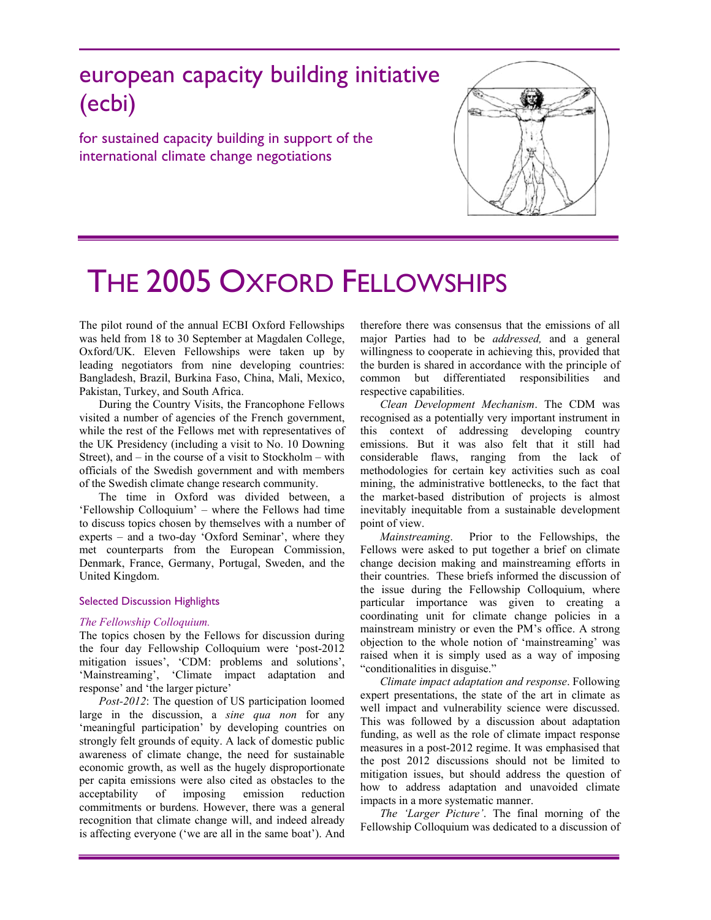# european capacity building initiative (ecbi)

for sustained capacity building in support of the international climate change negotiations



# THE 2005 OXFORD FELLOWSHIPS

The pilot round of the annual ECBI Oxford Fellowships was held from 18 to 30 September at Magdalen College, Oxford/UK. Eleven Fellowships were taken up by leading negotiators from nine developing countries: Bangladesh, Brazil, Burkina Faso, China, Mali, Mexico, Pakistan, Turkey, and South Africa.

During the Country Visits, the Francophone Fellows visited a number of agencies of the French government, while the rest of the Fellows met with representatives of the UK Presidency (including a visit to No. 10 Downing Street), and – in the course of a visit to Stockholm – with officials of the Swedish government and with members of the Swedish climate change research community.

The time in Oxford was divided between, a 'Fellowship Colloquium' – where the Fellows had time to discuss topics chosen by themselves with a number of experts – and a two-day 'Oxford Seminar', where they met counterparts from the European Commission, Denmark, France, Germany, Portugal, Sweden, and the United Kingdom.

#### Selected Discussion Highlights

#### *The Fellowship Colloquium.*

The topics chosen by the Fellows for discussion during the four day Fellowship Colloquium were 'post-2012 mitigation issues', 'CDM: problems and solutions', 'Mainstreaming', 'Climate impact adaptation and response' and 'the larger picture'

*Post-2012*: The question of US participation loomed large in the discussion, a *sine qua non* for any 'meaningful participation' by developing countries on strongly felt grounds of equity. A lack of domestic public awareness of climate change, the need for sustainable economic growth, as well as the hugely disproportionate per capita emissions were also cited as obstacles to the acceptability of imposing emission reduction commitments or burdens. However, there was a general recognition that climate change will, and indeed already is affecting everyone ('we are all in the same boat'). And

therefore there was consensus that the emissions of all major Parties had to be *addressed,* and a general willingness to cooperate in achieving this, provided that the burden is shared in accordance with the principle of common but differentiated responsibilities and respective capabilities.

*Clean Development Mechanism*. The CDM was recognised as a potentially very important instrument in this context of addressing developing country emissions. But it was also felt that it still had considerable flaws, ranging from the lack of methodologies for certain key activities such as coal mining, the administrative bottlenecks, to the fact that the market-based distribution of projects is almost inevitably inequitable from a sustainable development point of view.

*Mainstreaming*. Prior to the Fellowships, the Fellows were asked to put together a brief on climate change decision making and mainstreaming efforts in their countries. These briefs informed the discussion of the issue during the Fellowship Colloquium, where particular importance was given to creating a coordinating unit for climate change policies in a mainstream ministry or even the PM's office. A strong objection to the whole notion of 'mainstreaming' was raised when it is simply used as a way of imposing "conditionalities in disguise."

*Climate impact adaptation and response*. Following expert presentations, the state of the art in climate as well impact and vulnerability science were discussed. This was followed by a discussion about adaptation funding, as well as the role of climate impact response measures in a post-2012 regime. It was emphasised that the post 2012 discussions should not be limited to mitigation issues, but should address the question of how to address adaptation and unavoided climate impacts in a more systematic manner.

*The 'Larger Picture'*. The final morning of the Fellowship Colloquium was dedicated to a discussion of